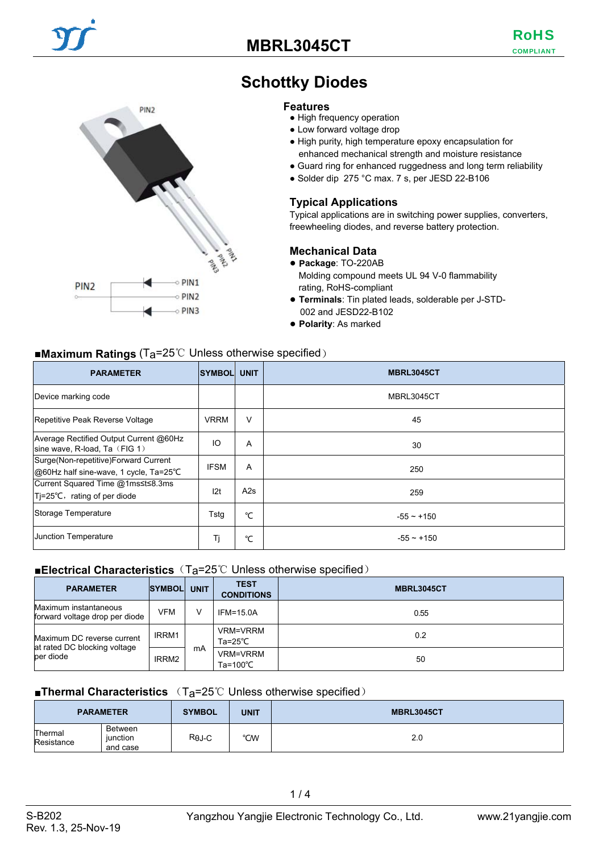## **MBRL3045CT**

COMPLIANT RoHS



# **Schottky Diodes**

#### **Features**

- High frequency operation
- Low forward voltage drop
- High purity, high temperature epoxy encapsulation for enhanced mechanical strength and moisture resistance
- Guard ring for enhanced ruggedness and long term reliability
- Solder dip 275 °C max. 7 s, per JESD 22-B106

### **Typical Applications**

Typical applications are in switching power supplies, converters, freewheeling diodes, and reverse battery protection.

### **Mechanical Data**

- **Package**: TO-220AB
- Molding compound meets UL 94 V-0 flammability rating, RoHS-compliant
- **Terminals**: Tin plated leads, solderable per J-STD-002 and JESD22-B102
- **Polarity**: As marked

### ■**Maximum Ratings** (Ta=25℃ Unless otherwise specified)

| <b>PARAMETER</b>                                                               | <b>SYMBOL</b> | <b>UNIT</b> | MBRL3045CT      |
|--------------------------------------------------------------------------------|---------------|-------------|-----------------|
| Device marking code                                                            |               |             | MBRL3045CT      |
| Repetitive Peak Reverse Voltage                                                | <b>VRRM</b>   | $\vee$      | 45              |
| Average Rectified Output Current @60Hz<br>sine wave, R-load, Ta $(FIG 1)$      | IO            | A           | 30              |
| Surge(Non-repetitive)Forward Current<br>@60Hz half sine-wave, 1 cycle, Ta=25°C | <b>IFSM</b>   | A           | 250             |
| Current Squared Time @1ms≤t≤8.3ms<br>Tj=25°C, rating of per diode              | 12t           | A2s         | 259             |
| Storage Temperature                                                            | Tstg          | °C          | $-55 \sim +150$ |
| <b>Junction Temperature</b>                                                    | Tj            | °C          | $-55 \sim +150$ |

### ■**Electrical Characteristics** (T<sub>a</sub>=25℃ Unless otherwise specified)

| <b>PARAMETER</b>                                                        | <b>SYMBOLI</b> | <b>UNIT</b> | <b>TEST</b><br><b>CONDITIONS</b>      | <b>MBRL3045CT</b> |
|-------------------------------------------------------------------------|----------------|-------------|---------------------------------------|-------------------|
| Maximum instantaneous<br>forward voltage drop per diode                 | <b>VFM</b>     |             | $IFM = 15.0A$                         | 0.55              |
| Maximum DC reverse current<br>at rated DC blocking voltage<br>per diode | IRRM1          | mA          | VRM=VRRM<br>Ta=25 $°C$                | 0.2               |
|                                                                         | IRRM2          |             | <b>VRM=VRRM</b><br>Ta=100 $\degree$ C | 50                |

### ■**Thermal Characteristics** (T<sub>a</sub>=25℃ Unless otherwise specified)

|                       | <b>PARAMETER</b>                       | <b>SYMBOL</b> | <b>UNIT</b> | <b>MBRL3045CT</b> |
|-----------------------|----------------------------------------|---------------|-------------|-------------------|
| Thermal<br>Resistance | <b>Between</b><br>iunction<br>and case | $R\theta$ J-C | °CW         | 2.0               |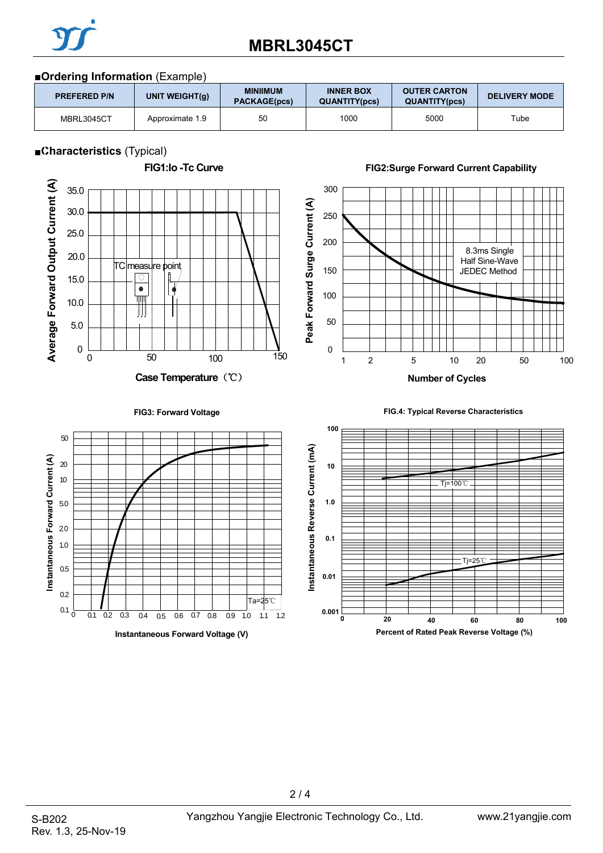

# **MBRL3045CT**

### ■**Ordering Information** (Example)

| <b>PREFERED P/N</b> | UNIT WEIGHT(g)  | <b>MINIIMUM</b><br><b>PACKAGE(pcs)</b> | <b>INNER BOX</b><br><b>QUANTITY(pcs)</b> | <b>OUTER CARTON</b><br><b>QUANTITY(pcs)</b> | <b>DELIVERY MODE</b> |
|---------------------|-----------------|----------------------------------------|------------------------------------------|---------------------------------------------|----------------------|
| MBRL3045CT          | Approximate 1.9 | 50                                     | 1000                                     | 5000                                        | Tube                 |

### ■**Characteristics** (Typical)



### **FIG2:Surge Forward Current Capability**



#### **FIG3: Forward Voltage**





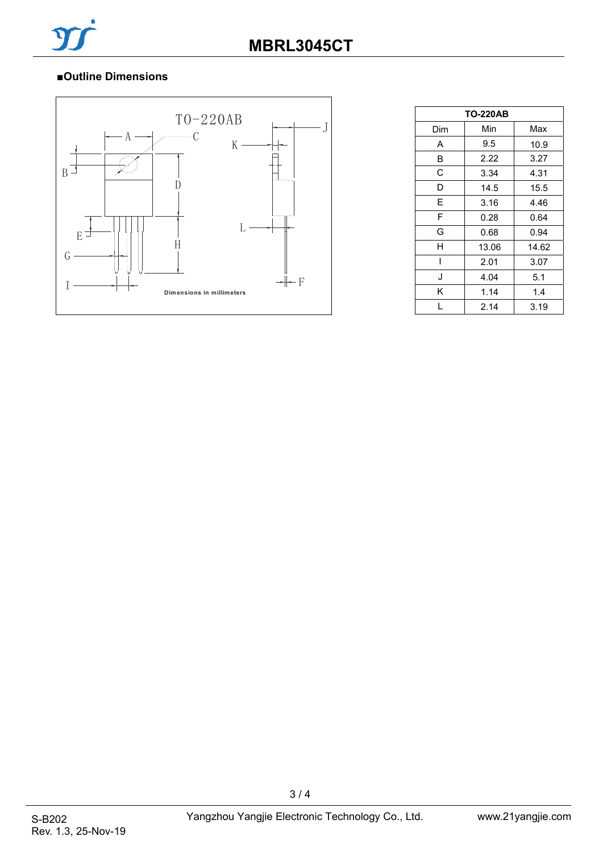## ■**Outline Dimensions**



| <b>TO-220AB</b> |       |       |  |  |
|-----------------|-------|-------|--|--|
| Dim             | Min   | Max   |  |  |
| A               | 9.5   | 10.9  |  |  |
| B               | 2.22  | 3.27  |  |  |
| C               | 3.34  | 4.31  |  |  |
| D               | 14.5  | 15.5  |  |  |
| E               | 3.16  | 4.46  |  |  |
| F               | 0.28  | 0.64  |  |  |
| G               | 0.68  | 0.94  |  |  |
| н               | 13.06 | 14.62 |  |  |
|                 | 2.01  | 3.07  |  |  |
| J               | 4.04  | 5.1   |  |  |
| K               | 1.14  | 1.4   |  |  |
|                 | 2.14  | 3.19  |  |  |

3 / 4